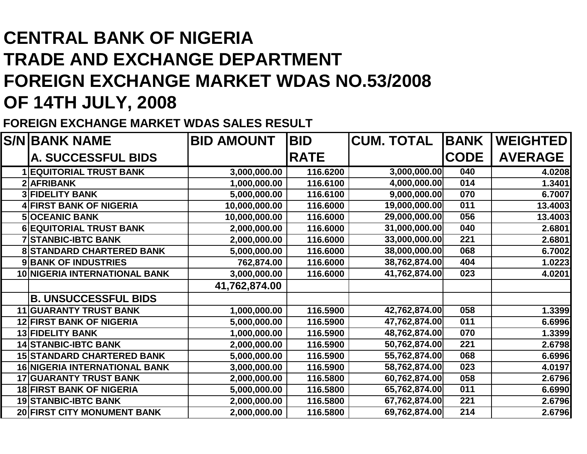## **CENTRAL BANK OF NIGERIA TRADE AND EXCHANGE DEPARTMENT FOREIGN EXCHANGE MARKET WDAS NO.53/2008OF 14TH JULY, 2008**

**FOREIGN EXCHANGE MARKET WDAS SALES RESULT**

|    | <b>S/N BANK NAME</b>                 | <b>BID AMOUNT</b> | <b>BID</b>  | <b>CUM. TOTAL</b> | <b>BANK</b> | <b>WEIGHTED</b> |
|----|--------------------------------------|-------------------|-------------|-------------------|-------------|-----------------|
|    | <b>A. SUCCESSFUL BIDS</b>            |                   | <b>RATE</b> |                   | <b>CODE</b> | <b>AVERAGE</b>  |
|    | <b>1 EQUITORIAL TRUST BANK</b>       | 3,000,000.00      | 116.6200    | 3,000,000.00      | 040         | 4.0208          |
|    | 2 AFRIBANK                           | 1,000,000.00      | 116.6100    | 4,000,000.00      | 014         | 1.3401          |
|    | <b>3 FIDELITY BANK</b>               | 5,000,000.00      | 116.6100    | 9,000,000.00      | 070         | 6.7007          |
|    | <b>4 FIRST BANK OF NIGERIA</b>       | 10,000,000.00     | 116.6000    | 19,000,000.00     | 011         | 13.4003         |
|    | <b>5 OCEANIC BANK</b>                | 10,000,000.00     | 116.6000    | 29,000,000.00     | 056         | 13.4003         |
|    | <b>6 EQUITORIAL TRUST BANK</b>       | 2,000,000.00      | 116.6000    | 31,000,000.00     | 040         | 2.6801          |
|    | <b>7 STANBIC-IBTC BANK</b>           | 2,000,000.00      | 116.6000    | 33,000,000.00     | 221         | 2.6801          |
|    | <b>8 STANDARD CHARTERED BANK</b>     | 5,000,000.00      | 116.6000    | 38,000,000.00     | 068         | 6.7002          |
|    | <b>9 BANK OF INDUSTRIES</b>          | 762,874.00        | 116.6000    | 38,762,874.00     | 404         | 1.0223          |
|    | <b>10 NIGERIA INTERNATIONAL BANK</b> | 3,000,000.00      | 116.6000    | 41,762,874.00     | 023         | 4.0201          |
|    |                                      | 41,762,874.00     |             |                   |             |                 |
|    | <b>B. UNSUCCESSFUL BIDS</b>          |                   |             |                   |             |                 |
| 11 | <b>GUARANTY TRUST BANK</b>           | 1,000,000.00      | 116.5900    | 42,762,874.00     | 058         | 1.3399          |
|    | <b>12 FIRST BANK OF NIGERIA</b>      | 5,000,000.00      | 116.5900    | 47,762,874.00     | 011         | 6.6996          |
|    | <b>13 FIDELITY BANK</b>              | 1,000,000.00      | 116.5900    | 48,762,874.00     | 070         | 1.3399          |
|    | <b>14 STANBIC-IBTC BANK</b>          | 2,000,000.00      | 116.5900    | 50,762,874.00     | 221         | 2.6798          |
|    | <b>15 STANDARD CHARTERED BANK</b>    | 5,000,000.00      | 116.5900    | 55,762,874.00     | 068         | 6.6996          |
|    | <b>16 NIGERIA INTERNATIONAL BANK</b> | 3,000,000.00      | 116.5900    | 58,762,874.00     | 023         | 4.0197          |
|    | <b>17 GUARANTY TRUST BANK</b>        | 2,000,000.00      | 116.5800    | 60,762,874.00     | 058         | 2.6796          |
|    | <b>18 FIRST BANK OF NIGERIA</b>      | 5,000,000.00      | 116.5800    | 65,762,874.00     | 011         | 6.6990          |
|    | <b>19 STANBIC-IBTC BANK</b>          | 2,000,000.00      | 116.5800    | 67,762,874.00     | 221         | 2.6796          |
|    | 20 FIRST CITY MONUMENT BANK          | 2,000,000.00      | 116.5800    | 69,762,874.00     | 214         | 2.6796          |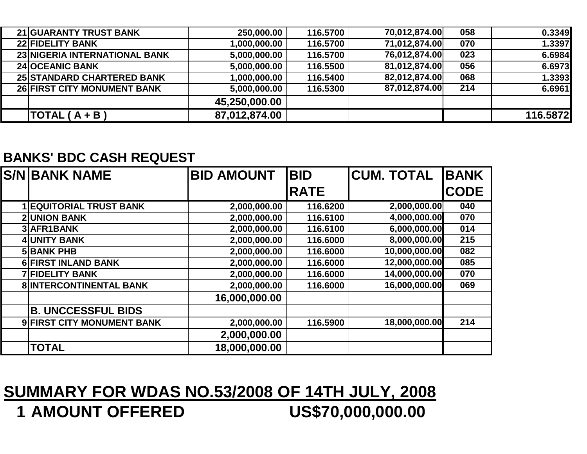| <b>21 GUARANTY TRUST BANK</b>      | 250,000.00    | 116.5700 | 70,012,874.00 | 058 | 0.3349   |
|------------------------------------|---------------|----------|---------------|-----|----------|
| <b>22 FIDELITY BANK</b>            | 1,000,000.00  | 116.5700 | 71,012,874.00 | 070 | 1.3397   |
| 23 NIGERIA INTERNATIONAL BANK      | 5,000,000.00  | 116.5700 | 76,012,874.00 | 023 | 6.6984   |
| <b>24 OCEANIC BANK</b>             | 5,000,000.00  | 116.5500 | 81,012,874.00 | 056 | 6.6973   |
| <b>25 STANDARD CHARTERED BANK</b>  | 1,000,000.00  | 116.5400 | 82,012,874.00 | 068 | 1.3393   |
| <b>26 FIRST CITY MONUMENT BANK</b> | 5,000,000.00  | 116.5300 | 87,012,874.00 | 214 | 6.6961   |
|                                    | 45,250,000.00 |          |               |     |          |
| TOTAL $(A + B)$                    | 87,012,874.00 |          |               |     | 116.5872 |

## **BANKS' BDC CASH REQUEST**

| <b>S/NIBANK NAME</b>           | <b>BID AMOUNT</b> | <b>BID</b>  | <b>CUM. TOTAL</b> | <b>BANK</b> |
|--------------------------------|-------------------|-------------|-------------------|-------------|
|                                |                   | <b>RATE</b> |                   | <b>CODE</b> |
| <b>1 EQUITORIAL TRUST BANK</b> | 2,000,000.00      | 116.6200    | 2,000,000.00      | 040         |
| <b>2 UNION BANK</b>            | 2,000,000.00      | 116.6100    | 4,000,000.00      | 070         |
| 3 AFR1BANK                     | 2,000,000.00      | 116.6100    | 6,000,000.00      | 014         |
| 4 UNITY BANK                   | 2,000,000.00      | 116.6000    | 8,000,000.00      | 215         |
| <b>5 BANK PHB</b>              | 2,000,000.00      | 116.6000    | 10,000,000.00     | 082         |
| 6 FIRST INLAND BANK            | 2,000,000.00      | 116.6000    | 12,000,000.00     | 085         |
| <b>7 FIDELITY BANK</b>         | 2,000,000.00      | 116.6000    | 14,000,000.00     | 070         |
| <b>8 INTERCONTINENTAL BANK</b> | 2,000,000.00      | 116.6000    | 16,000,000.00     | 069         |
|                                | 16,000,000.00     |             |                   |             |
| <b>B. UNCCESSFUL BIDS</b>      |                   |             |                   |             |
| 9 FIRST CITY MONUMENT BANK     | 2,000,000.00      | 116.5900    | 18,000,000.00     | 214         |
|                                | 2,000,000.00      |             |                   |             |
| <b>TOTAL</b>                   | 18,000,000.00     |             |                   |             |

## **SUMMARY FOR WDAS NO.53/2008 OF 14TH JULY, 2008**US\$70,000,000.00 **1 AMOUNT OFFERED**